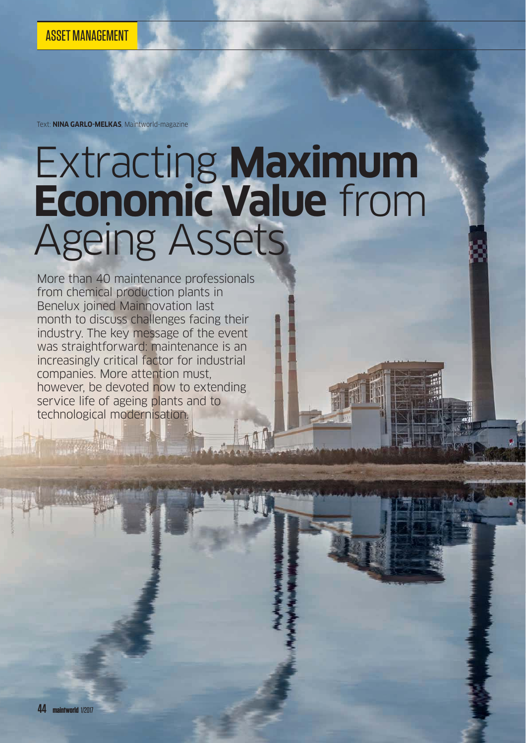Text: **NINA GARLO-MELKAS**, Maintworld-magazine

# Extracting **Maximum Economic Value** from Ageing Assets

More than 40 maintenance professionals from chemical production plants in Benelux joined Mainnovation last month to discuss challenges facing their industry. The key message of the event was straightforward: maintenance is an increasingly critical factor for industrial companies. More attention must, however, be devoted now to extending service life of ageing plants and to technological modernisation.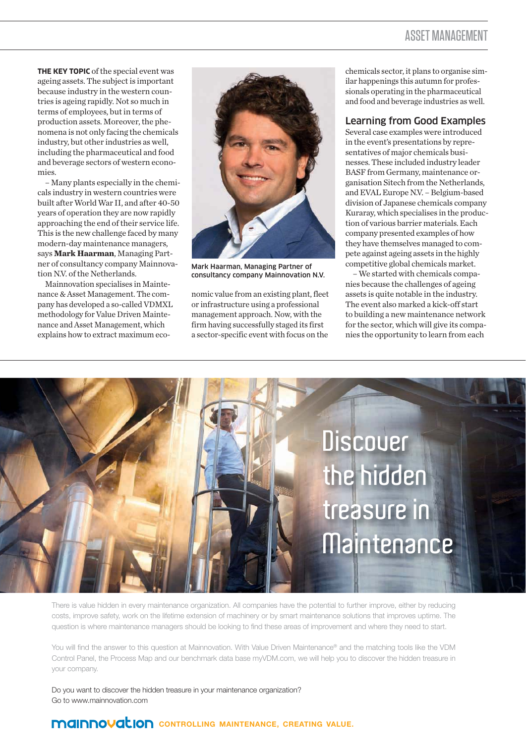### ASSET MANAGEMENT

**THE KEY TOPIC** of the special event was ageing assets. The subject is important because industry in the western countries is ageing rapidly. Not so much in terms of employees, but in terms of production assets. Moreover, the phenomena is not only facing the chemicals industry, but other industries as well, including the pharmaceutical and food and beverage sectors of western economies.

– Many plants especially in the chemicals industry in western countries were built after World War II, and after 40-50 years of operation they are now rapidly approaching the end of their service life. This is the new challenge faced by many modern-day maintenance managers, says **Mark Haarman**, Managing Partner of consultancy company Mainnovation N.V. of the Netherlands.

Mainnovation specialises in Maintenance & Asset Management. The company has developed a so-called VDMXL methodology for Value Driven Maintenance and Asset Management, which explains how to extract maximum eco-



Mark Haarman, Managing Partner of consultancy company Mainnovation N.V.

nomic value from an existing plant, fleet or infrastructure using a professional management approach. Now, with the firm having successfully staged its first a sector-specific event with focus on the

chemicals sector, it plans to organise similar happenings this autumn for professionals operating in the pharmaceutical and food and beverage industries as well.

#### Learning from Good Examples

Several case examples were introduced in the event's presentations by representatives of major chemicals businesses. These included industry leader BASF from Germany, maintenance organisation Sitech from the Netherlands, and EVAL Europe N.V. – Belgium-based division of Japanese chemicals company Kuraray, which specialises in the production of various barrier materials. Each company presented examples of how they have themselves managed to compete against ageing assets in the highly competitive global chemicals market.

– We started with chemicals companies because the challenges of ageing assets is quite notable in the industry. The event also marked a kick-off start to building a new maintenance network for the sector, which will give its companies the opportunity to learn from each



There is value hidden in every maintenance organization. All companies have the potential to further improve, either by reducing costs, improve safety, work on the lifetime extension of machinery or by smart maintenance solutions that improves uptime. The question is where maintenance managers should be looking to find these areas of improvement and where they need to start.

You will find the answer to this question at Mainnovation. With Value Driven Maintenance® and the matching tools like the VDM Control Panel, the Process Map and our benchmark data base myVDM.com, we will help you to discover the hidden treasure in your company.

Do you want to discover the hidden treasure in your maintenance organization? Go to www.mainnovation.com

## **CONTROLLING MAINTENANCE, CREATING VALUE.**